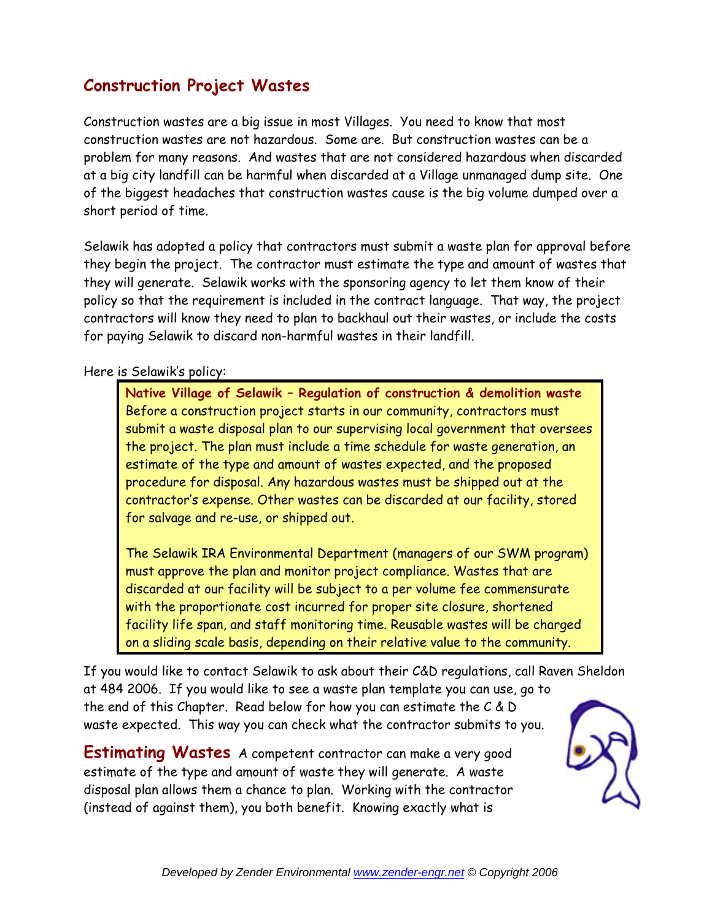# **Construction Project Wastes**

Construction wastes are a big issue in most Villages. You need to know that most construction wastes are not hazardous. Some are. But construction wastes can be a problem for many reasons. And wastes that are not considered hazardous when discarded at a big city landfill can be harmful when discarded at a Village unmanaged dump site. One of the biggest headaches that construction wastes cause is the big volume dumped over a short period of time.

Selawik has adopted a policy that contractors must submit a waste plan for approval before they begin the project. The contractor must estimate the type and amount of wastes that they will generate. Selawik works with the sponsoring agency to let them know of their policy so that the requirement is included in the contract language. That way, the project contractors will know they need to plan to backhaul out their wastes, or include the costs for paying Selawik to discard non-harmful wastes in their landfill.

Here is Selawik's policy:

**Native Village of Selawik – Regulation of construction & demolition waste**  Before a construction project starts in our community, contractors must submit a waste disposal plan to our supervising local government that oversees the project. The plan must include a time schedule for waste generation, an estimate of the type and amount of wastes expected, and the proposed procedure for disposal. Any hazardous wastes must be shipped out at the contractor's expense. Other wastes can be discarded at our facility, stored for salvage and re-use, or shipped out.

The Selawik IRA Environmental Department (managers of our SWM program) must approve the plan and monitor project compliance. Wastes that are discarded at our facility will be subject to a per volume fee commensurate with the proportionate cost incurred for proper site closure, shortened facility life span, and staff monitoring time. Reusable wastes will be charged on a sliding scale basis, depending on their relative value to the community.

If you would like to contact Selawik to ask about their C&D regulations, call Raven Sheldon at 484 2006. If you would like to see a waste plan template you can use, go to the end of this Chapter. Read below for how you can estimate the C & D waste expected. This way you can check what the contractor submits to you.

**Estimating Wastes** A competent contractor can make a very good estimate of the type and amount of waste they will generate. A waste disposal plan allows them a chance to plan. Working with the contractor (instead of against them), you both benefit. Knowing exactly what is

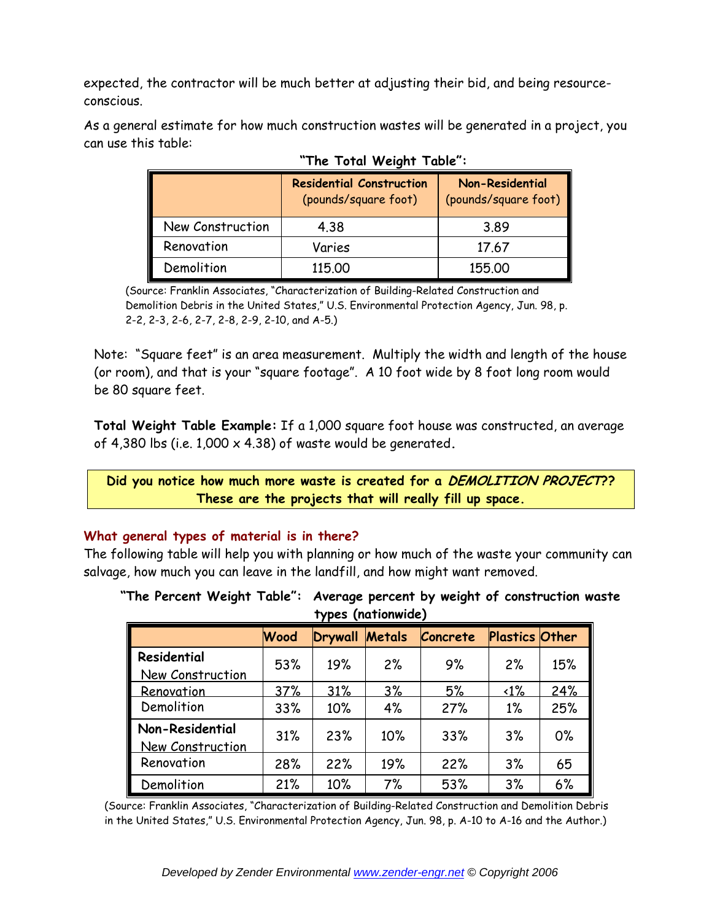expected, the contractor will be much better at adjusting their bid, and being resourceconscious.

|                  | <b>Residential Construction</b><br>(pounds/square foot) | <b>Non-Residential</b><br>(pounds/square foot) |
|------------------|---------------------------------------------------------|------------------------------------------------|
| New Construction | 4.38                                                    | 3.89                                           |
| Renovation       | Varies                                                  | 17.67                                          |
| Demolition       | 115.00                                                  | 155,00                                         |

| As a general estimate for how much construction wastes will be generated in a project, you |  |  |  |  |  |
|--------------------------------------------------------------------------------------------|--|--|--|--|--|
| can use this table:                                                                        |  |  |  |  |  |

 **"The Total Weight Table":** 

(Source: Franklin Associates, "Characterization of Building-Related Construction and Demolition Debris in the United States," U.S. Environmental Protection Agency, Jun. 98, p. 2-2, 2-3, 2-6, 2-7, 2-8, 2-9, 2-10, and A-5.)

Note: "Square feet" is an area measurement. Multiply the width and length of the house (or room), and that is your "square footage". A 10 foot wide by 8 foot long room would be 80 square feet.

**Total Weight Table Example:** If a 1,000 square foot house was constructed, an average of 4,380 lbs (i.e. 1,000 x 4.38) of waste would be generated**.** 

**Did you notice how much more waste is created for a DEMOLITION PROJECT?? These are the projects that will really fill up space.** 

#### **What general types of material is in there?**

The following table will help you with planning or how much of the waste your community can salvage, how much you can leave in the landfill, and how might want removed.

|                                     |             |         | TYDES (NATIONWIGE) |          |                       |     |
|-------------------------------------|-------------|---------|--------------------|----------|-----------------------|-----|
|                                     | <b>Wood</b> | Drywall | Metals             | Concrete | <b>Plastics Other</b> |     |
| Residential                         | 53%         | 19%     | 2%                 | 9%       | 2%                    | 15% |
| New Construction                    |             |         |                    |          |                       |     |
| Renovation                          | 37%         | 31%     | 3%                 | 5%       | $\langle 1\%$         | 24% |
| Demolition                          | 33%         | 10%     | 4%                 | 27%      | $1\%$                 | 25% |
| Non-Residential<br>New Construction | 31%         | 23%     | 10%                | 33%      | 3%                    | 0%  |
| ι<br>Renovation                     | 28%         | 22%     | 19%                | 22%      | 3%                    | 65  |
| Demolition                          | 21%         | 10%     | 7%                 | 53%      | 3%                    | 6%  |

**"The Percent Weight Table": Average percent by weight of construction waste types (nationwide)**

(Source: Franklin Associates, "Characterization of Building-Related Construction and Demolition Debris in the United States," U.S. Environmental Protection Agency, Jun. 98, p. A-10 to A-16 and the Author.)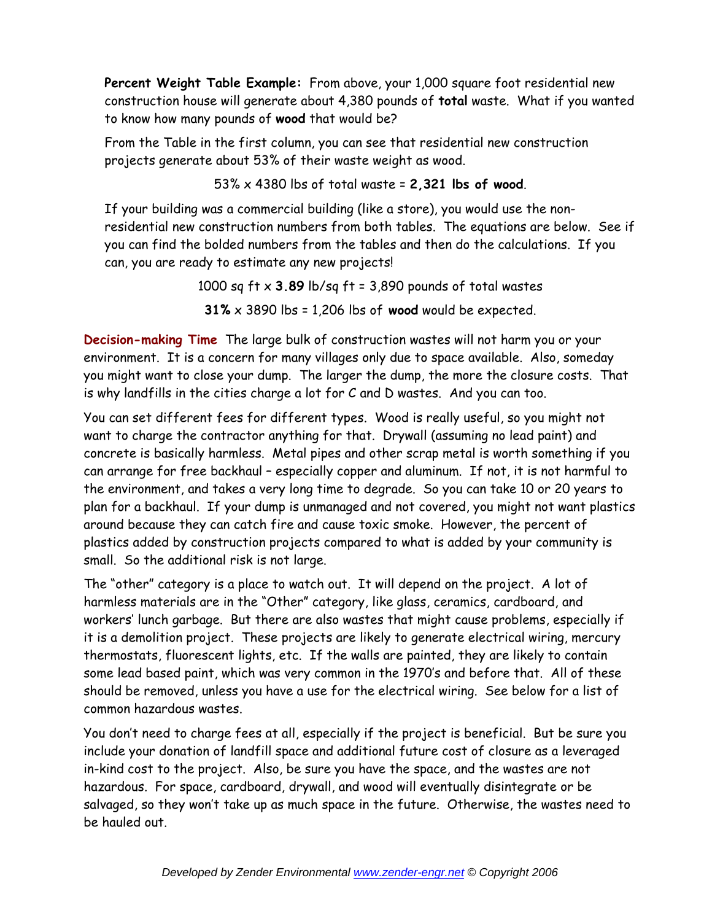**Percent Weight Table Example:** From above, your 1,000 square foot residential new construction house will generate about 4,380 pounds of **total** waste. What if you wanted to know how many pounds of **wood** that would be?

From the Table in the first column, you can see that residential new construction projects generate about 53% of their waste weight as wood.

53% x 4380 lbs of total waste = **2,321 lbs of wood**.

If your building was a commercial building (like a store), you would use the nonresidential new construction numbers from both tables. The equations are below. See if you can find the bolded numbers from the tables and then do the calculations. If you can, you are ready to estimate any new projects!

> 1000 sq ft x **3.89** lb/sq ft = 3,890 pounds of total wastes **31%** x 3890 lbs = 1,206 lbs of **wood** would be expected.

**Decision-making Time** The large bulk of construction wastes will not harm you or your environment. It is a concern for many villages only due to space available. Also, someday you might want to close your dump. The larger the dump, the more the closure costs. That is why landfills in the cities charge a lot for C and D wastes. And you can too.

You can set different fees for different types. Wood is really useful, so you might not want to charge the contractor anything for that. Drywall (assuming no lead paint) and concrete is basically harmless. Metal pipes and other scrap metal is worth something if you can arrange for free backhaul – especially copper and aluminum. If not, it is not harmful to the environment, and takes a very long time to degrade. So you can take 10 or 20 years to plan for a backhaul. If your dump is unmanaged and not covered, you might not want plastics around because they can catch fire and cause toxic smoke. However, the percent of plastics added by construction projects compared to what is added by your community is small. So the additional risk is not large.

The "other" category is a place to watch out. It will depend on the project. A lot of harmless materials are in the "Other" category, like glass, ceramics, cardboard, and workers' lunch garbage. But there are also wastes that might cause problems, especially if it is a demolition project. These projects are likely to generate electrical wiring, mercury thermostats, fluorescent lights, etc. If the walls are painted, they are likely to contain some lead based paint, which was very common in the 1970's and before that. All of these should be removed, unless you have a use for the electrical wiring. See below for a list of common hazardous wastes.

You don't need to charge fees at all, especially if the project is beneficial. But be sure you include your donation of landfill space and additional future cost of closure as a leveraged in-kind cost to the project. Also, be sure you have the space, and the wastes are not hazardous. For space, cardboard, drywall, and wood will eventually disintegrate or be salvaged, so they won't take up as much space in the future. Otherwise, the wastes need to be hauled out.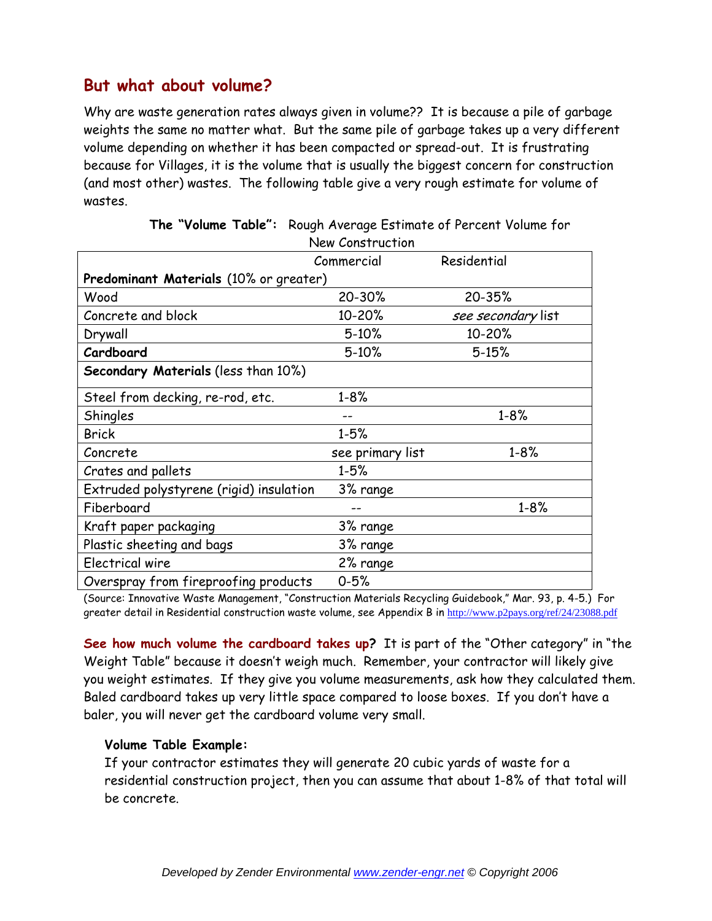## **But what about volume?**

Why are waste generation rates always given in volume?? It is because a pile of garbage weights the same no matter what. But the same pile of garbage takes up a very different volume depending on whether it has been compacted or spread-out. It is frustrating because for Villages, it is the volume that is usually the biggest concern for construction (and most other) wastes. The following table give a very rough estimate for volume of wastes.

|                                               | New Construction |                    |  |  |  |
|-----------------------------------------------|------------------|--------------------|--|--|--|
|                                               | Commercial       | Residential        |  |  |  |
| <b>Predominant Materials (10% or greater)</b> |                  |                    |  |  |  |
| Wood                                          | 20-30%           | 20-35%             |  |  |  |
| Concrete and block                            | 10-20%           | see secondary list |  |  |  |
| Drywall                                       | $5 - 10%$        | 10-20%             |  |  |  |
| Cardboard                                     | $5 - 10%$        | $5 - 15%$          |  |  |  |
| <b>Secondary Materials (less than 10%)</b>    |                  |                    |  |  |  |
| Steel from decking, re-rod, etc.              | $1 - 8%$         |                    |  |  |  |
| Shingles                                      |                  | $1 - 8%$           |  |  |  |
| <b>Brick</b>                                  | $1 - 5%$         |                    |  |  |  |
| Concrete                                      | see primary list | $1 - 8%$           |  |  |  |
| Crates and pallets                            | $1 - 5%$         |                    |  |  |  |
| Extruded polystyrene (rigid) insulation       | 3% range         |                    |  |  |  |
| Fiberboard                                    |                  | $1 - 8%$           |  |  |  |
| Kraft paper packaging                         | 3% range         |                    |  |  |  |
| Plastic sheeting and bags                     | 3% range         |                    |  |  |  |
| Electrical wire                               | 2% range         |                    |  |  |  |
| Overspray from fireproofing products          | $0 - 5%$         |                    |  |  |  |

**The "Volume Table":** Rough Average Estimate of Percent Volume for

(Source: Innovative Waste Management, "Construction Materials Recycling Guidebook," Mar. 93, p. 4-5.) For greater detail in Residential construction waste volume, see Appendix B in http://www.p2pays.org/ref/24/23088.pdf

**See how much volume the cardboard takes up?** It is part of the "Other category" in "the Weight Table" because it doesn't weigh much. Remember, your contractor will likely give you weight estimates. If they give you volume measurements, ask how they calculated them. Baled cardboard takes up very little space compared to loose boxes. If you don't have a baler, you will never get the cardboard volume very small.

#### **Volume Table Example:**

If your contractor estimates they will generate 20 cubic yards of waste for a residential construction project, then you can assume that about 1-8% of that total will be concrete.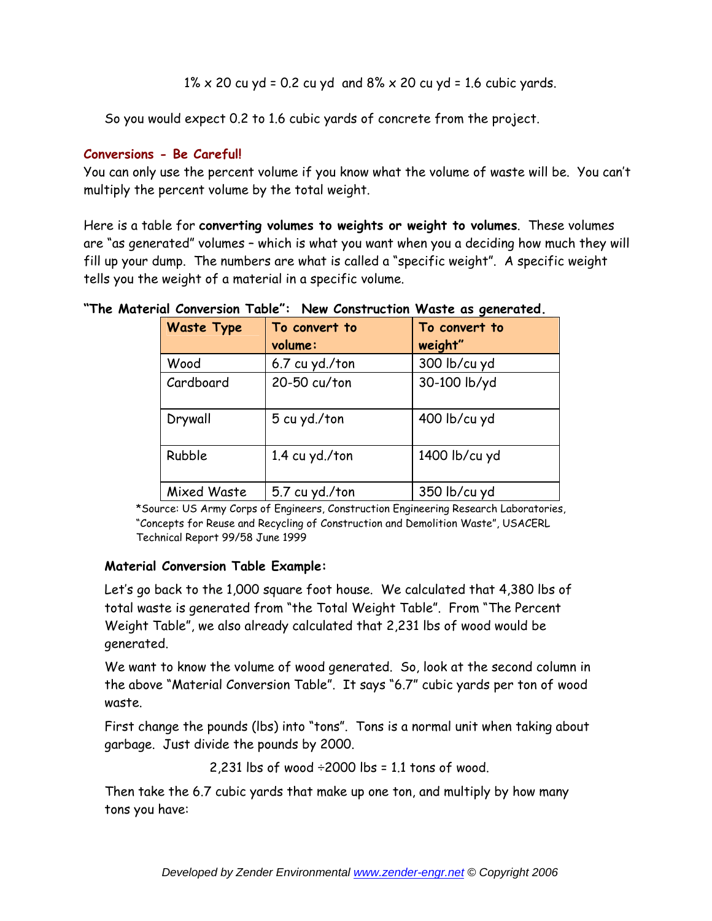$1\% \times 20$  cu yd = 0.2 cu yd and  $8\% \times 20$  cu yd = 1.6 cubic yards.

So you would expect 0.2 to 1.6 cubic yards of concrete from the project.

### **Conversions - Be Careful!**

You can only use the percent volume if you know what the volume of waste will be. You can't multiply the percent volume by the total weight.

Here is a table for **converting volumes to weights or weight to volumes**. These volumes are "as generated" volumes – which is what you want when you a deciding how much they will fill up your dump. The numbers are what is called a "specific weight". A specific weight tells you the weight of a material in a specific volume.

| "The Material Conversion Table": New Construction Waste as generated. |  |
|-----------------------------------------------------------------------|--|
|-----------------------------------------------------------------------|--|

| <b>Waste Type</b> | To convert to<br>volume: | To convert to<br>weight" |
|-------------------|--------------------------|--------------------------|
| Wood              | 6.7 cu yd./ton           | 300 lb/cu yd             |
| Cardboard         | 20-50 cu/ton             | 30-100 lb/yd             |
| Drywall           | 5 cu yd./ton             | 400 lb/cu yd             |
| Rubble            | 1.4 cu yd./ton           | 1400 lb/cu yd            |
| Mixed Waste       | 5.7 cu yd./ton           | 350 lb/cu yd             |

\*Source: US Army Corps of Engineers, Construction Engineering Research Laboratories, "Concepts for Reuse and Recycling of Construction and Demolition Waste", USACERL Technical Report 99/58 June 1999

### **Material Conversion Table Example:**

Let's go back to the 1,000 square foot house. We calculated that 4,380 lbs of total waste is generated from "the Total Weight Table". From "The Percent Weight Table", we also already calculated that 2,231 lbs of wood would be generated.

We want to know the volume of wood generated. So, look at the second column in the above "Material Conversion Table". It says "6.7" cubic yards per ton of wood waste.

First change the pounds (lbs) into "tons". Tons is a normal unit when taking about garbage. Just divide the pounds by 2000.

2,231 lbs of wood  $\div 2000$  lbs = 1.1 tons of wood.

Then take the 6.7 cubic yards that make up one ton, and multiply by how many tons you have: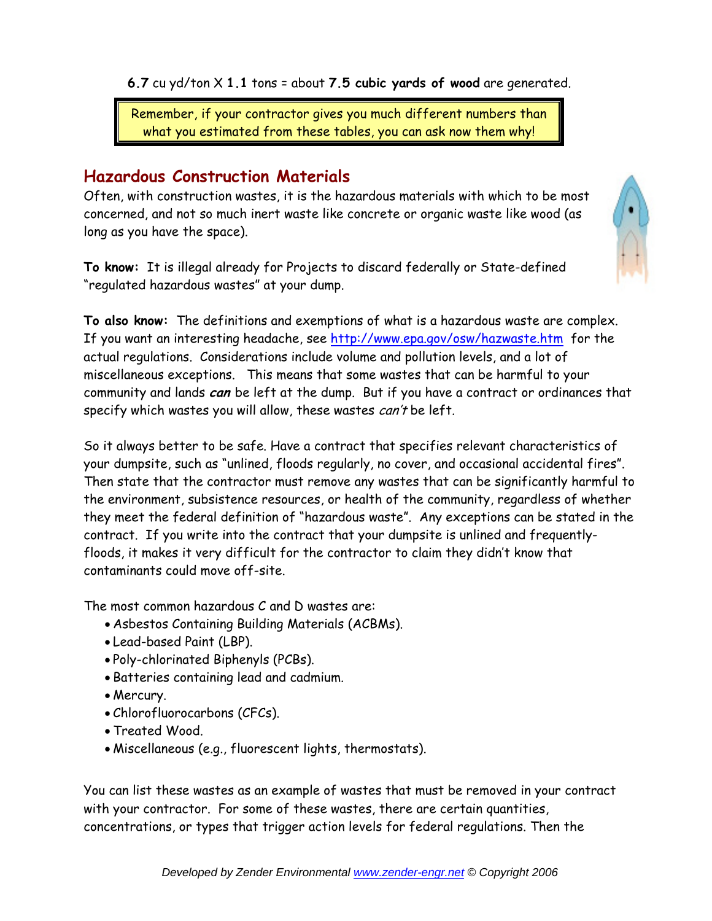**6.7** cu yd/ton X **1.1** tons = about **7.5 cubic yards of wood** are generated.

Remember, if your contractor gives you much different numbers than what you estimated from these tables, you can ask now them why!

# **Hazardous Construction Materials**

Often, with construction wastes, it is the hazardous materials with which to be most concerned, and not so much inert waste like concrete or organic waste like wood (as long as you have the space).

**To know:** It is illegal already for Projects to discard federally or State-defined "regulated hazardous wastes" at your dump.



**To also know:** The definitions and exemptions of what is a hazardous waste are complex. If you want an interesting headache, see http://www.epa.gov/osw/hazwaste.htm for the actual regulations. Considerations include volume and pollution levels, and a lot of miscellaneous exceptions. This means that some wastes that can be harmful to your community and lands **can** be left at the dump. But if you have a contract or ordinances that specify which wastes you will allow, these wastes *can't* be left.

So it always better to be safe. Have a contract that specifies relevant characteristics of your dumpsite, such as "unlined, floods regularly, no cover, and occasional accidental fires". Then state that the contractor must remove any wastes that can be significantly harmful to the environment, subsistence resources, or health of the community, regardless of whether they meet the federal definition of "hazardous waste". Any exceptions can be stated in the contract. If you write into the contract that your dumpsite is unlined and frequentlyfloods, it makes it very difficult for the contractor to claim they didn't know that contaminants could move off-site.

The most common hazardous C and D wastes are:

- Asbestos Containing Building Materials (ACBMs).
- Lead-based Paint (LBP).
- Poly-chlorinated Biphenyls (PCBs).
- Batteries containing lead and cadmium.
- Mercury.
- Chlorofluorocarbons (CFCs).
- Treated Wood.
- Miscellaneous (e.g., fluorescent lights, thermostats).

You can list these wastes as an example of wastes that must be removed in your contract with your contractor. For some of these wastes, there are certain quantities, concentrations, or types that trigger action levels for federal regulations. Then the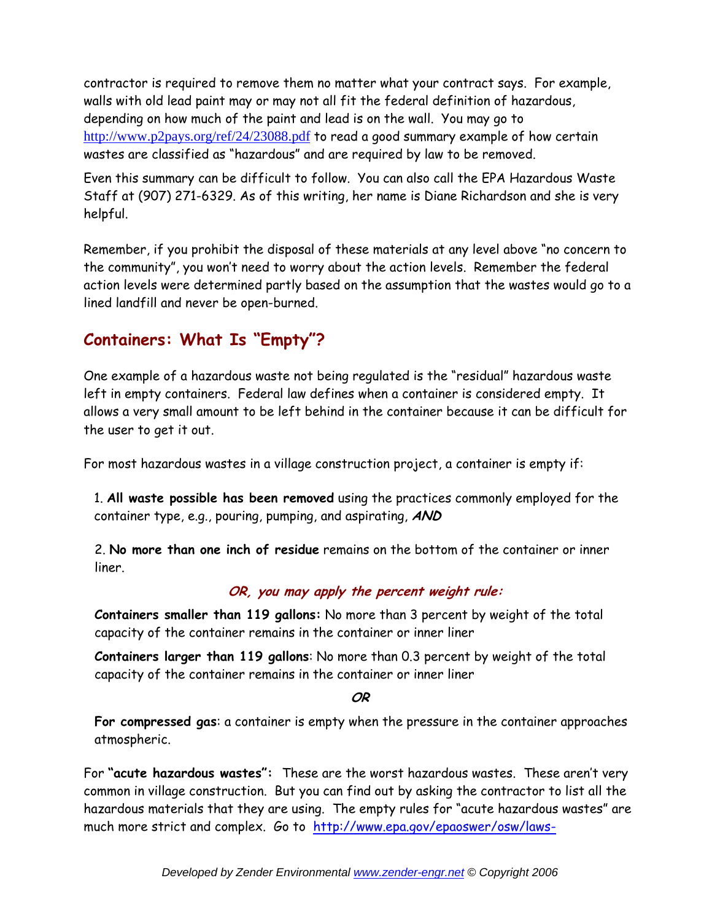contractor is required to remove them no matter what your contract says. For example, walls with old lead paint may or may not all fit the federal definition of hazardous, depending on how much of the paint and lead is on the wall. You may go to http://www.p2pays.org/ref/24/23088.pdf to read a good summary example of how certain wastes are classified as "hazardous" and are required by law to be removed.

Even this summary can be difficult to follow. You can also call the EPA Hazardous Waste Staff at (907) 271-6329. As of this writing, her name is Diane Richardson and she is very helpful.

Remember, if you prohibit the disposal of these materials at any level above "no concern to the community", you won't need to worry about the action levels. Remember the federal action levels were determined partly based on the assumption that the wastes would go to a lined landfill and never be open-burned.

# **Containers: What Is "Empty"?**

One example of a hazardous waste not being regulated is the "residual" hazardous waste left in empty containers. Federal law defines when a container is considered empty. It allows a very small amount to be left behind in the container because it can be difficult for the user to get it out.

For most hazardous wastes in a village construction project, a container is empty if:

1. **All waste possible has been removed** using the practices commonly employed for the container type, e.g., pouring, pumping, and aspirating, **AND**

2. **No more than one inch of residue** remains on the bottom of the container or inner liner.

### **OR, you may apply the percent weight rule:**

**Containers smaller than 119 gallons:** No more than 3 percent by weight of the total capacity of the container remains in the container or inner liner

**Containers larger than 119 gallons**: No more than 0.3 percent by weight of the total capacity of the container remains in the container or inner liner

**OR** 

**For compressed gas**: a container is empty when the pressure in the container approaches atmospheric.

For **"acute hazardous wastes":** These are the worst hazardous wastes. These aren't very common in village construction. But you can find out by asking the contractor to list all the hazardous materials that they are using. The empty rules for "acute hazardous wastes" are much more strict and complex. Go to http://www.epa.gov/epaoswer/osw/laws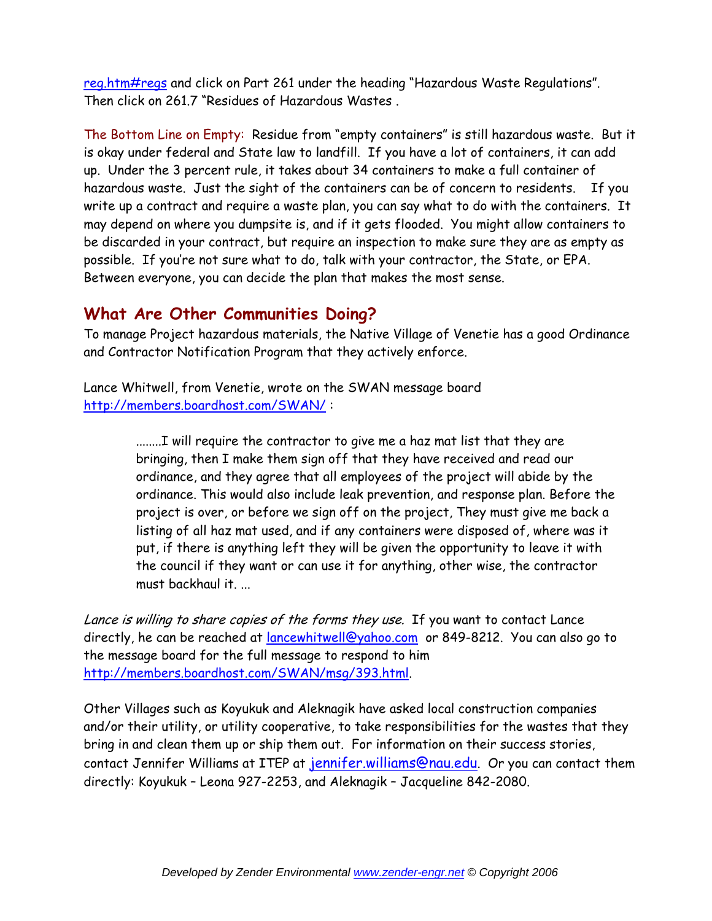reg.htm#regs and click on Part 261 under the heading "Hazardous Waste Regulations". Then click on 261.7 "Residues of Hazardous Wastes .

The Bottom Line on Empty: Residue from "empty containers" is still hazardous waste. But it is okay under federal and State law to landfill. If you have a lot of containers, it can add up. Under the 3 percent rule, it takes about 34 containers to make a full container of hazardous waste. Just the sight of the containers can be of concern to residents. If you write up a contract and require a waste plan, you can say what to do with the containers. It may depend on where you dumpsite is, and if it gets flooded. You might allow containers to be discarded in your contract, but require an inspection to make sure they are as empty as possible. If you're not sure what to do, talk with your contractor, the State, or EPA. Between everyone, you can decide the plan that makes the most sense.

## **What Are Other Communities Doing?**

To manage Project hazardous materials, the Native Village of Venetie has a good Ordinance and Contractor Notification Program that they actively enforce.

Lance Whitwell, from Venetie, wrote on the SWAN message board http://members.boardhost.com/SWAN/ :

> ........I will require the contractor to give me a haz mat list that they are bringing, then I make them sign off that they have received and read our ordinance, and they agree that all employees of the project will abide by the ordinance. This would also include leak prevention, and response plan. Before the project is over, or before we sign off on the project, They must give me back a listing of all haz mat used, and if any containers were disposed of, where was it put, if there is anything left they will be given the opportunity to leave it with the council if they want or can use it for anything, other wise, the contractor must backhaul it. ...

Lance is willing to share copies of the forms they use. If you want to contact Lance directly, he can be reached at *lancewhitwell@yahoo.com* or 849-8212. You can also go to the message board for the full message to respond to him http://members.boardhost.com/SWAN/msg/393.html.

Other Villages such as Koyukuk and Aleknagik have asked local construction companies and/or their utility, or utility cooperative, to take responsibilities for the wastes that they bring in and clean them up or ship them out. For information on their success stories, contact Jennifer Williams at ITEP at jennifer.williams@nau.edu. Or you can contact them directly: Koyukuk – Leona 927-2253, and Aleknagik – Jacqueline 842-2080.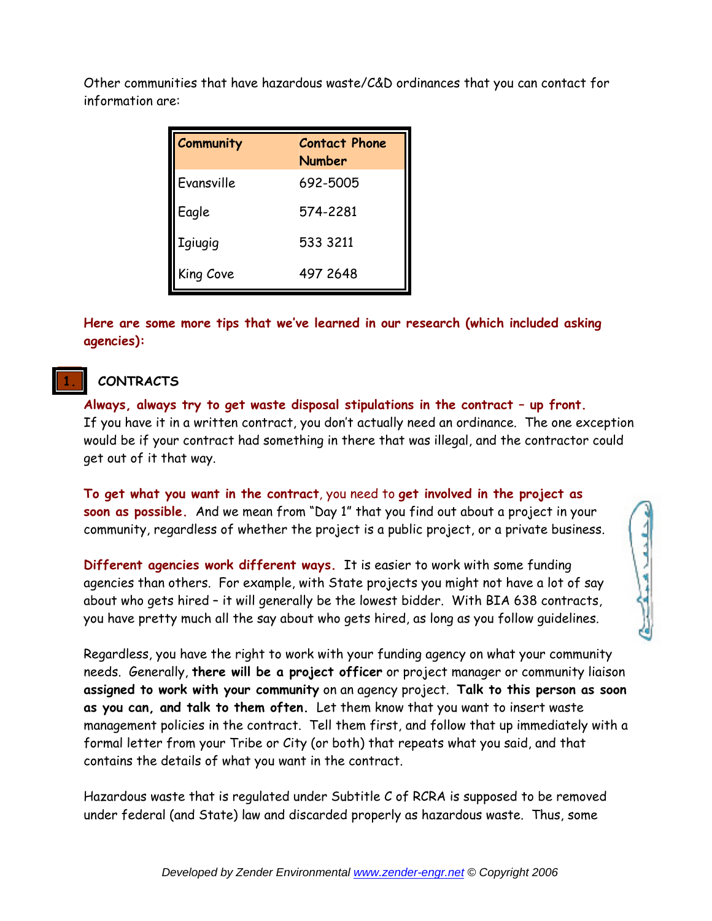Other communities that have hazardous waste/C&D ordinances that you can contact for information are:

| Community      | <b>Contact Phone</b><br><b>Number</b> |
|----------------|---------------------------------------|
| Evansville     | 692-5005                              |
| Eagle          | 574-2281                              |
| <b>Igiugig</b> | 533 3211                              |
| King Cove      | 497 2648                              |

**Here are some more tips that we've learned in our research (which included asking agencies):** 

## **1. CONTRACTS**

**Always, always try to get waste disposal stipulations in the contract – up front.** If you have it in a written contract, you don't actually need an ordinance. The one exception would be if your contract had something in there that was illegal, and the contractor could get out of it that way.

**To get what you want in the contract**, you need to **get involved in the project as soon as possible.** And we mean from "Day 1" that you find out about a project in your community, regardless of whether the project is a public project, or a private business.

**Different agencies work different ways.** It is easier to work with some funding agencies than others. For example, with State projects you might not have a lot of say about who gets hired – it will generally be the lowest bidder. With BIA 638 contracts, you have pretty much all the say about who gets hired, as long as you follow guidelines.

Charles

Regardless, you have the right to work with your funding agency on what your community needs. Generally, **there will be a project officer** or project manager or community liaison **assigned to work with your community** on an agency project. **Talk to this person as soon as you can, and talk to them often.** Let them know that you want to insert waste management policies in the contract. Tell them first, and follow that up immediately with a formal letter from your Tribe or City (or both) that repeats what you said, and that contains the details of what you want in the contract.

Hazardous waste that is regulated under Subtitle C of RCRA is supposed to be removed under federal (and State) law and discarded properly as hazardous waste. Thus, some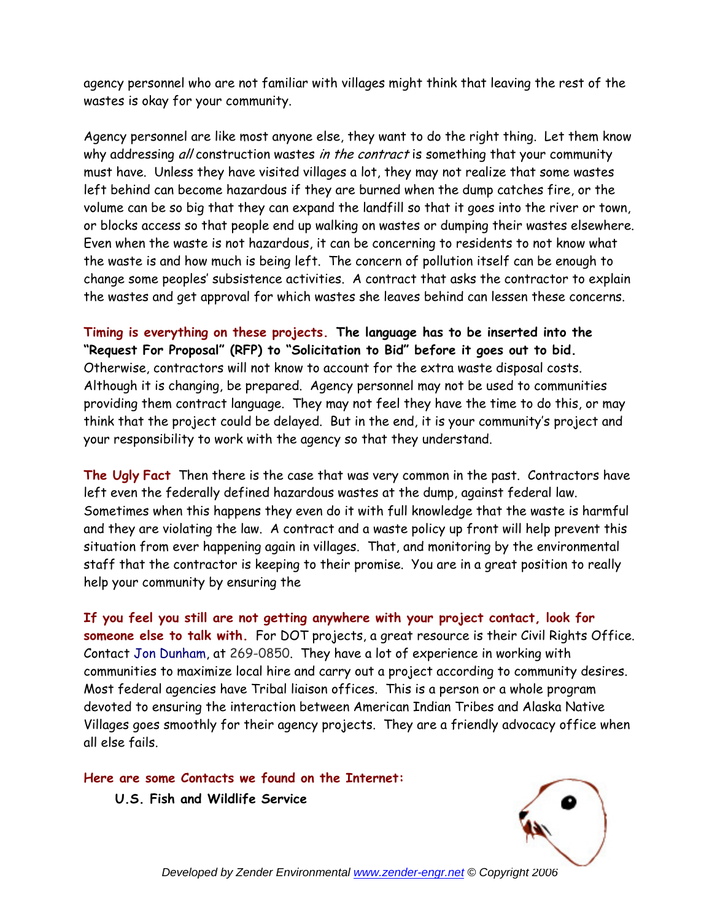agency personnel who are not familiar with villages might think that leaving the rest of the wastes is okay for your community.

Agency personnel are like most anyone else, they want to do the right thing. Let them know why addressing all construction wastes in the contract is something that your community must have. Unless they have visited villages a lot, they may not realize that some wastes left behind can become hazardous if they are burned when the dump catches fire, or the volume can be so big that they can expand the landfill so that it goes into the river or town, or blocks access so that people end up walking on wastes or dumping their wastes elsewhere. Even when the waste is not hazardous, it can be concerning to residents to not know what the waste is and how much is being left. The concern of pollution itself can be enough to change some peoples' subsistence activities. A contract that asks the contractor to explain the wastes and get approval for which wastes she leaves behind can lessen these concerns.

**Timing is everything on these projects. The language has to be inserted into the "Request For Proposal" (RFP) to "Solicitation to Bid" before it goes out to bid.**  Otherwise, contractors will not know to account for the extra waste disposal costs. Although it is changing, be prepared. Agency personnel may not be used to communities providing them contract language. They may not feel they have the time to do this, or may think that the project could be delayed. But in the end, it is your community's project and your responsibility to work with the agency so that they understand.

**The Ugly Fact** Then there is the case that was very common in the past. Contractors have left even the federally defined hazardous wastes at the dump, against federal law. Sometimes when this happens they even do it with full knowledge that the waste is harmful and they are violating the law. A contract and a waste policy up front will help prevent this situation from ever happening again in villages. That, and monitoring by the environmental staff that the contractor is keeping to their promise. You are in a great position to really help your community by ensuring the

**If you feel you still are not getting anywhere with your project contact, look for someone else to talk with.** For DOT projects, a great resource is their Civil Rights Office. Contact Jon Dunham, at 269-0850. They have a lot of experience in working with communities to maximize local hire and carry out a project according to community desires. Most federal agencies have Tribal liaison offices. This is a person or a whole program devoted to ensuring the interaction between American Indian Tribes and Alaska Native Villages goes smoothly for their agency projects. They are a friendly advocacy office when all else fails.

**Here are some Contacts we found on the Internet:** 

**U.S. Fish and Wildlife Service** 



*Developed by Zender Environmental www.zender-engr.net © Copyright 2006*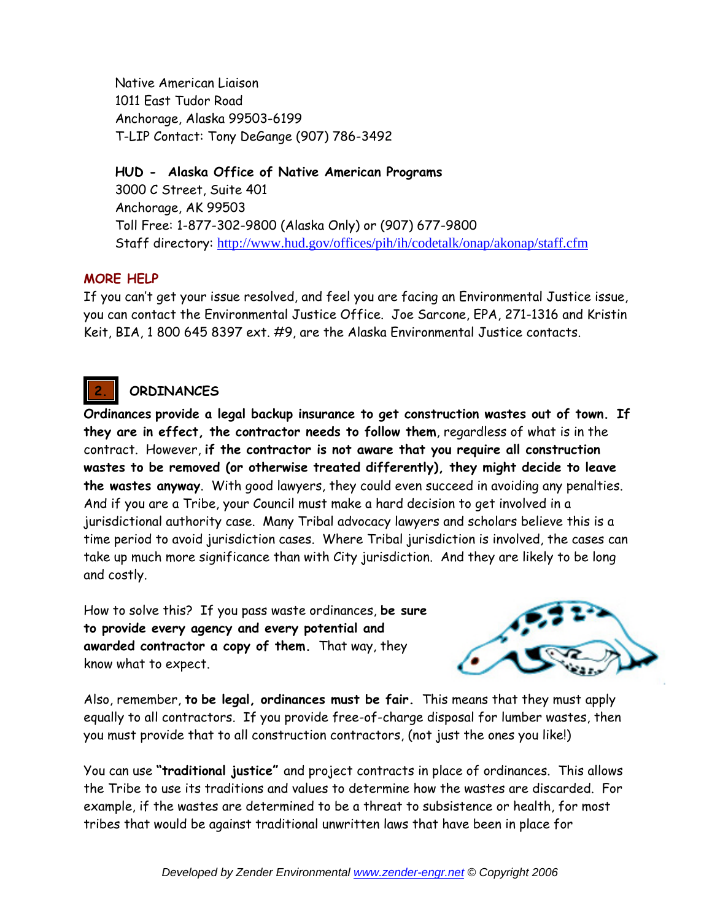Native American Liaison 1011 East Tudor Road Anchorage, Alaska 99503-6199 T-LIP Contact: Tony DeGange (907) 786-3492

**HUD - Alaska Office of Native American Programs** 3000 C Street, Suite 401 Anchorage, AK 99503 Toll Free: 1-877-302-9800 (Alaska Only) or (907) 677-9800 Staff directory: http://www.hud.gov/offices/pih/ih/codetalk/onap/akonap/staff.cfm

### **MORE HELP**

If you can't get your issue resolved, and feel you are facing an Environmental Justice issue, you can contact the Environmental Justice Office. Joe Sarcone, EPA, 271-1316 and Kristin Keit, BIA, 1 800 645 8397 ext. #9, are the Alaska Environmental Justice contacts.

## **2. ORDINANCES**

**Ordinances provide a legal backup insurance to get construction wastes out of town. If they are in effect, the contractor needs to follow them**, regardless of what is in the contract. However, **if the contractor is not aware that you require all construction wastes to be removed (or otherwise treated differently), they might decide to leave the wastes anyway**. With good lawyers, they could even succeed in avoiding any penalties. And if you are a Tribe, your Council must make a hard decision to get involved in a jurisdictional authority case. Many Tribal advocacy lawyers and scholars believe this is a time period to avoid jurisdiction cases. Where Tribal jurisdiction is involved, the cases can take up much more significance than with City jurisdiction. And they are likely to be long and costly.

How to solve this? If you pass waste ordinances, **be sure to provide every agency and every potential and awarded contractor a copy of them.** That way, they know what to expect.



Also, remember, **to be legal, ordinances must be fair.** This means that they must apply equally to all contractors. If you provide free-of-charge disposal for lumber wastes, then you must provide that to all construction contractors, (not just the ones you like!)

You can use **"traditional justice"** and project contracts in place of ordinances. This allows the Tribe to use its traditions and values to determine how the wastes are discarded. For example, if the wastes are determined to be a threat to subsistence or health, for most tribes that would be against traditional unwritten laws that have been in place for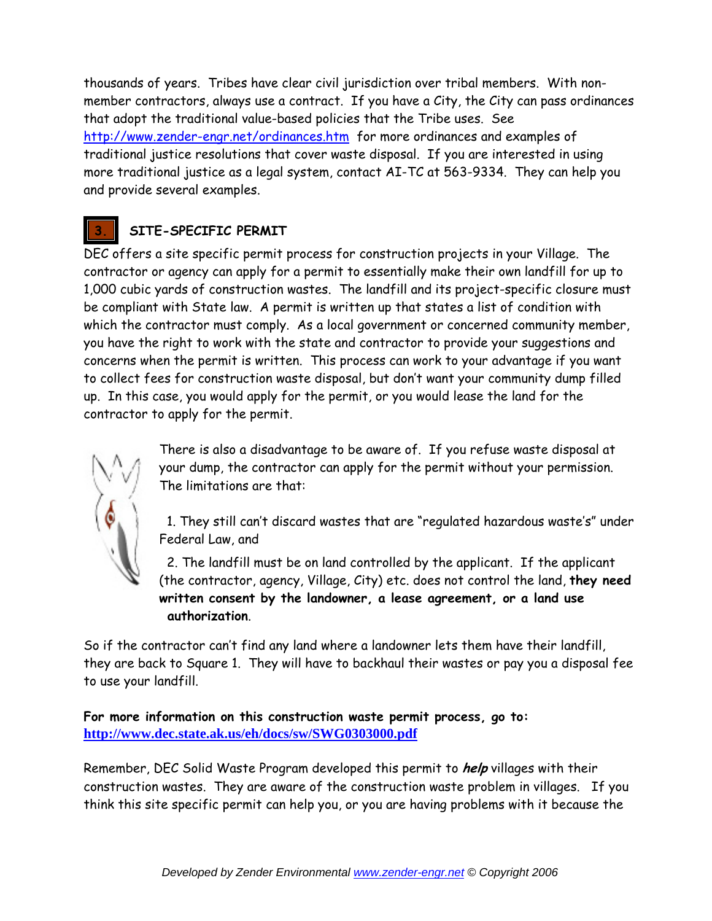thousands of years. Tribes have clear civil jurisdiction over tribal members. With nonmember contractors, always use a contract. If you have a City, the City can pass ordinances that adopt the traditional value-based policies that the Tribe uses. See http://www.zender-engr.net/ordinances.htm for more ordinances and examples of traditional justice resolutions that cover waste disposal. If you are interested in using more traditional justice as a legal system, contact AI-TC at 563-9334. They can help you and provide several examples.

# **3. SITE-SPECIFIC PERMIT**

DEC offers a site specific permit process for construction projects in your Village. The contractor or agency can apply for a permit to essentially make their own landfill for up to 1,000 cubic yards of construction wastes. The landfill and its project-specific closure must be compliant with State law. A permit is written up that states a list of condition with which the contractor must comply. As a local government or concerned community member, you have the right to work with the state and contractor to provide your suggestions and concerns when the permit is written. This process can work to your advantage if you want to collect fees for construction waste disposal, but don't want your community dump filled up. In this case, you would apply for the permit, or you would lease the land for the contractor to apply for the permit.

There is also a disadvantage to be aware of. If you refuse waste disposal at your dump, the contractor can apply for the permit without your permission. The limitations are that:

 1. They still can't discard wastes that are "regulated hazardous waste's" under Federal Law, and

 2. The landfill must be on land controlled by the applicant. If the applicant (the contractor, agency, Village, City) etc. does not control the land, **they need written consent by the landowner, a lease agreement, or a land use authorization**.

So if the contractor can't find any land where a landowner lets them have their landfill, they are back to Square 1. They will have to backhaul their wastes or pay you a disposal fee to use your landfill.

**For more information on this construction waste permit process, go to: http://www.dec.state.ak.us/eh/docs/sw/SWG0303000.pdf**

Remember, DEC Solid Waste Program developed this permit to **help** villages with their construction wastes. They are aware of the construction waste problem in villages. If you think this site specific permit can help you, or you are having problems with it because the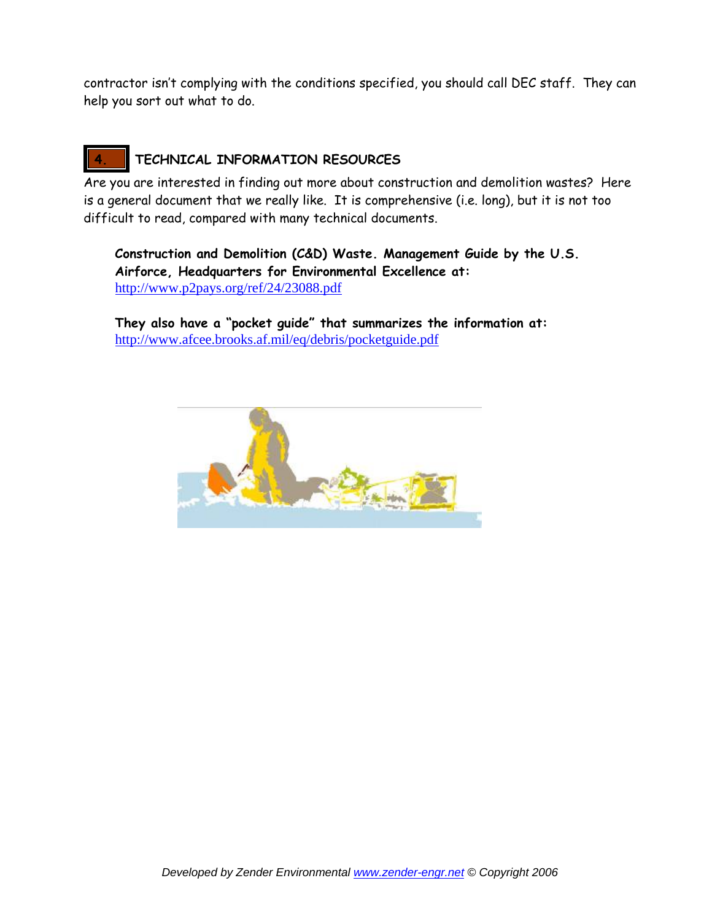contractor isn't complying with the conditions specified, you should call DEC staff. They can help you sort out what to do.

# **4. TECHNICAL INFORMATION RESOURCES**

Are you are interested in finding out more about construction and demolition wastes? Here is a general document that we really like. It is comprehensive (i.e. long), but it is not too difficult to read, compared with many technical documents.

**Construction and Demolition (C&D) Waste. Management Guide by the U.S. Airforce, Headquarters for Environmental Excellence at:** http://www.p2pays.org/ref/24/23088.pdf

**They also have a "pocket guide" that summarizes the information at:** http://www.afcee.brooks.af.mil/eq/debris/pocketguide.pdf